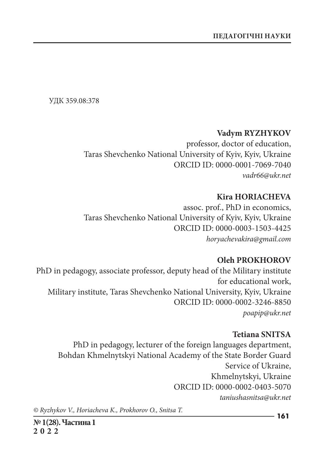УДК 359.08:378

### **Vadym RYZHYKOV**

professor, doctor of education, Taras Shevchenko National University of Kyiv, Kyiv, Ukraine ORCID ID: 0000-0001-7069-7040 *vadr66@ukr.net*

## **Kira HORIACHEVA**

assoc. prof., PhD in economics, Taras Shevchenko National University of Kyiv, Kyiv, Ukraine ORCID ID: 0000-0003-1503-4425 *horyachevakira@gmail.com*

### **Oleh PROKHOROV**

PhD in pedagogy, associate professor, deputy head of the Military institute for educational work, Military institute, Taras Shevchenko National University, Kyiv, Ukraine ORCID ID: 0000-0002-3246-8850 *poapip@ukr.net*

## **Tetiana SNITSA**

PhD in pedagogy, lecturer of the foreign languages department, Bohdan Khmelnytskyi National Academy of the State Border Guard Service of Ukraine, Khmelnytskyi, Ukraine ORCID ID: 0000-0002-0403-5070 *taniushasnitsa@ukr.net*

*© Ryzhykov V., Horiacheva K., Prokhorov O., Snitsa T.*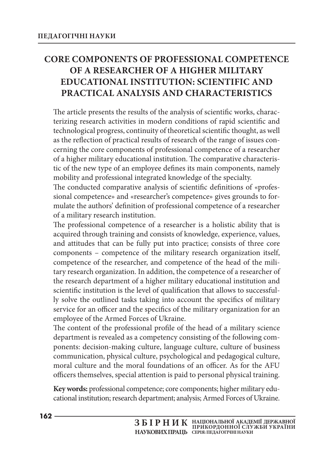# **CORE COMPONENTS OF PROFESSIONAL COMPETENCE OF A RESEARCHER OF A HIGHER MILITARY EDUCATIONAL INSTITUTION: SCIENTIFIC AND PRACTICAL ANALYSIS AND CHARACTERISTICS**

The article presents the results of the analysis of scientific works, characterizing research activities in modern conditions of rapid scientific and technological progress, continuity of theoretical scientific thought, as well as the reflection of practical results of research of the range of issues concerning the core components of professional competence of a researcher of a higher military educational institution. The comparative characteristic of the new type of an employee defines its main components, namely mobility and professional integrated knowledge of the specialty.

The conducted comparative analysis of scientific definitions of «professional competence» and «researcher's competence» gives grounds to formulate the authors' definition of professional competence of a researcher of a military research institution.

The professional competence of a researcher is a holistic ability that is acquired through training and consists of knowledge, experience, values, and attitudes that can be fully put into practice; consists of three core components – competence of the military research organization itself, competence of the researcher, and competence of the head of the military research organization. In addition, the competence of a researcher of the research department of a higher military educational institution and scientific institution is the level of qualification that allows to successfully solve the outlined tasks taking into account the specifics of military service for an officer and the specifics of the military organization for an employee of the Armed Forces of Ukraine.

The content of the professional profile of the head of a military science department is revealed as a competency consisting of the following components: decision-making culture, language culture, culture of business communication, physical culture, psychological and pedagogical culture, moral culture and the moral foundations of an officer. As for the AFU officers themselves, special attention is paid to personal physical training.

**Key words:** professional competence; core components; higher military educational institution; research department; analysis; Armed Forces of Ukraine.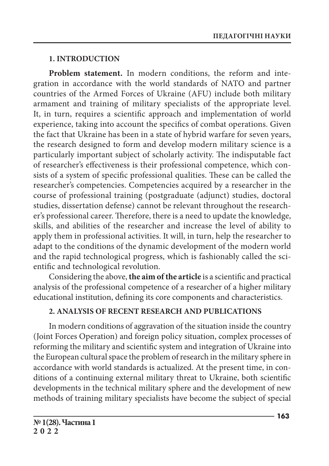## **1. INTRODUCTION**

**Problem statement.** In modern conditions, the reform and integration in accordance with the world standards of NATO and partner countries of the Armed Forces of Ukraine (AFU) include both military armament and training of military specialists of the appropriate level. It, in turn, requires a scientific approach and implementation of world experience, taking into account the specifics of combat operations. Given the fact that Ukraine has been in a state of hybrid warfare for seven years, the research designed to form and develop modern military science is a particularly important subject of scholarly activity. The indisputable fact of researcher's effectiveness is their professional competence, which consists of a system of specific professional qualities. These can be called the researcher's competencies. Competencies acquired by a researcher in the course of professional training (postgraduate (adjunct) studies, doctoral studies, dissertation defense) cannot be relevant throughout the researcher's professional career. Therefore, there is a need to update the knowledge, skills, and abilities of the researcher and increase the level of ability to apply them in professional activities. It will, in turn, help the researcher to adapt to the conditions of the dynamic development of the modern world and the rapid technological progress, which is fashionably called the scientific and technological revolution.

Considering the above, **the aim of the article** is a scientific and practical analysis of the professional competence of a researcher of a higher military educational institution, defining its core components and characteristics.

## **2. ANALYSIS OF RECENT RESEARCH AND PUBLICATIONS**

In modern conditions of aggravation of the situation inside the country (Joint Forces Operation) and foreign policy situation, complex processes of reforming the military and scientific system and integration of Ukraine into the European cultural space the problem of research in the military sphere in accordance with world standards is actualized. At the present time, in conditions of a continuing external military threat to Ukraine, both scientific developments in the technical military sphere and the development of new methods of training military specialists have become the subject of special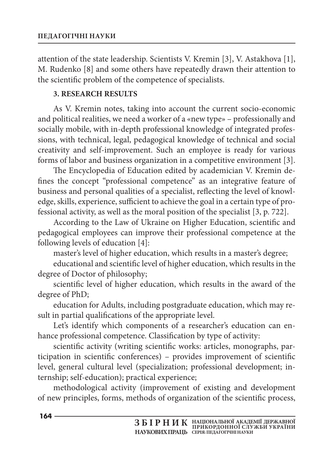attention of the state leadership. Scientists V. Kremin [3], V. Astakhova [1], M. Rudenko [8] and some others have repeatedly drawn their attention to the scientific problem of the competence of specialists.

## **3. RESEARCH RESULTS**

As V. Kremin notes, taking into account the current socio-economic and political realities, we need a worker of a «new type» – professionally and socially mobile, with in-depth professional knowledge of integrated professions, with technical, legal, pedagogical knowledge of technical and social creativity and self-improvement. Such an employee is ready for various forms of labor and business organization in a competitive environment [3].

The Encyclopedia of Education edited by academician V. Kremin defines the concept "professional competence" as an integrative feature of business and personal qualities of a specialist, reflecting the level of knowledge, skills, experience, sufficient to achieve the goal in a certain type of professional activity, as well as the moral position of the specialist [3, p. 722].

According to the Law of Ukraine on Higher Education, scientific and pedagogical employees can improve their professional competence at the following levels of education [4]:

master's level of higher education, which results in a master's degree;

educational and scientific level of higher education, which results in the degree of Doctor of philosophy;

scientific level of higher education, which results in the award of the degree of PhD;

education for Adults, including postgraduate education, which may result in partial qualifications of the appropriate level.

Let's identify which components of a researcher's education can enhance professional competence. Classification by type of activity:

scientific activity (writing scientific works: articles, monographs, participation in scientific conferences) – provides improvement of scientific level, general cultural level (specialization; professional development; internship; self-education); practical experience;

methodological activity (improvement of existing and development of new principles, forms, methods of organization of the scientific process,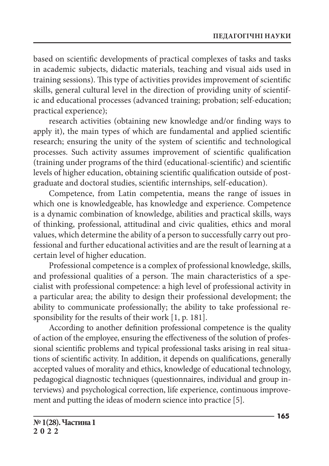based on scientific developments of practical complexes of tasks and tasks in academic subjects, didactic materials, teaching and visual aids used in training sessions). This type of activities provides improvement of scientific skills, general cultural level in the direction of providing unity of scientific and educational processes (advanced training; probation; self-education; practical experience);

research activities (obtaining new knowledge and/or finding ways to apply it), the main types of which are fundamental and applied scientific research; ensuring the unity of the system of scientific and technological processes. Such activity assumes improvement of scientific qualification (training under programs of the third (educational-scientific) and scientific levels of higher education, obtaining scientific qualification outside of postgraduate and doctoral studies, scientific internships, self-education).

Competence, from Latin competentia, means the range of issues in which one is knowledgeable, has knowledge and experience. Competence is a dynamic combination of knowledge, abilities and practical skills, ways of thinking, professional, attitudinal and civic qualities, ethics and moral values, which determine the ability of a person to successfully carry out professional and further educational activities and are the result of learning at a certain level of higher education.

Professional competence is a complex of professional knowledge, skills, and professional qualities of a person. The main characteristics of a specialist with professional competence: a high level of professional activity in a particular area; the ability to design their professional development; the ability to communicate professionally; the ability to take professional responsibility for the results of their work [1, p. 181].

According to another definition professional competence is the quality of action of the employee, ensuring the effectiveness of the solution of professional scientific problems and typical professional tasks arising in real situations of scientific activity. In addition, it depends on qualifications, generally accepted values of morality and ethics, knowledge of educational technology, pedagogical diagnostic techniques (questionnaires, individual and group interviews) and psychological correction, life experience, continuous improvement and putting the ideas of modern science into practice [5].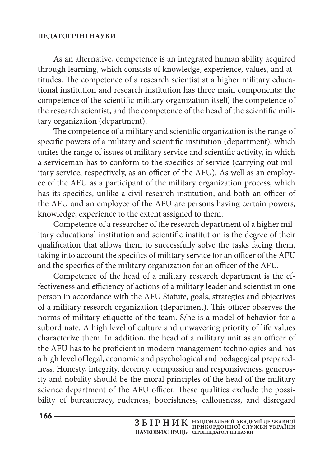#### **ПЕДАГОГiЧНi НАУКИ**

As an alternative, competence is an integrated human ability acquired through learning, which consists of knowledge, experience, values, and attitudes. The competence of a research scientist at a higher military educational institution and research institution has three main components: the competence of the scientific military organization itself, the competence of the research scientist, and the competence of the head of the scientific military organization (department).

The competence of a military and scientific organization is the range of specific powers of a military and scientific institution (department), which unites the range of issues of military service and scientific activity, in which a serviceman has to conform to the specifics of service (carrying out military service, respectively, as an officer of the AFU). As well as an employee of the AFU as a participant of the military organization process, which has its specifics, unlike a civil research institution, and both an officer of the AFU and an employee of the AFU are persons having certain powers, knowledge, experience to the extent assigned to them.

Competence of a researcher of the research department of a higher military educational institution and scientific institution is the degree of their qualification that allows them to successfully solve the tasks facing them, taking into account the specifics of military service for an officer of the AFU and the specifics of the military organization for an officer of the AFU.

Competence of the head of a military research department is the effectiveness and efficiency of actions of a military leader and scientist in one person in accordance with the AFU Statute, goals, strategies and objectives of a military research organization (department). This officer observes the norms of military etiquette of the team. S/he is a model of behavior for a subordinate. A high level of culture and unwavering priority of life values characterize them. In addition, the head of a military unit as an officer of the AFU has to be proficient in modern management technologies and has a high level of legal, economic and psychological and pedagogical preparedness. Honesty, integrity, decency, compassion and responsiveness, generosity and nobility should be the moral principles of the head of the military science department of the AFU officer. These qualities exclude the possibility of bureaucracy, rudeness, boorishness, callousness, and disregard

**166**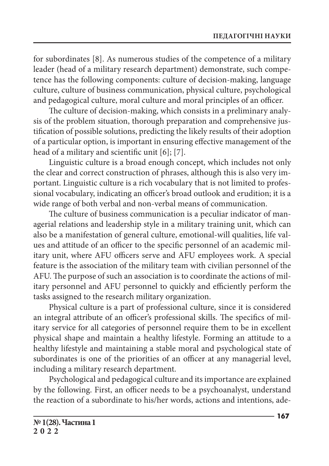for subordinates [8]. As numerous studies of the competence of a military leader (head of a military research department) demonstrate, such competence has the following components: culture of decision-making, language culture, culture of business communication, physical culture, psychological and pedagogical culture, moral culture and moral principles of an officer.

The culture of decision-making, which consists in a preliminary analysis of the problem situation, thorough preparation and comprehensive justification of possible solutions, predicting the likely results of their adoption of a particular option, is important in ensuring effective management of the head of a military and scientific unit [6]; [7].

Linguistic culture is a broad enough concept, which includes not only the clear and correct construction of phrases, although this is also very important. Linguistic culture is a rich vocabulary that is not limited to professional vocabulary, indicating an officer's broad outlook and erudition; it is a wide range of both verbal and non-verbal means of communication.

The culture of business communication is a peculiar indicator of managerial relations and leadership style in a military training unit, which can also be a manifestation of general culture, emotional-will qualities, life values and attitude of an officer to the specific personnel of an academic military unit, where AFU officers serve and AFU employees work. A special feature is the association of the military team with civilian personnel of the AFU. The purpose of such an association is to coordinate the actions of military personnel and AFU personnel to quickly and efficiently perform the tasks assigned to the research military organization.

Physical culture is a part of professional culture, since it is considered an integral attribute of an officer's professional skills. The specifics of military service for all categories of personnel require them to be in excellent physical shape and maintain a healthy lifestyle. Forming an attitude to a healthy lifestyle and maintaining a stable moral and psychological state of subordinates is one of the priorities of an officer at any managerial level, including a military research department.

Psychological and pedagogical culture and its importance are explained by the following. First, an officer needs to be a psychoanalyst, understand the reaction of a subordinate to his/her words, actions and intentions, ade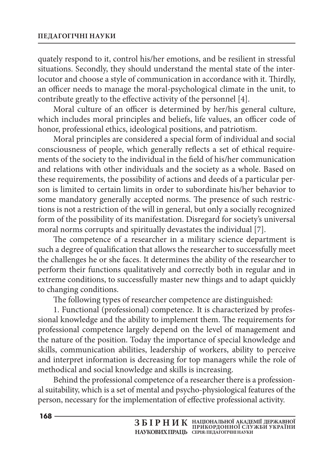quately respond to it, control his/her emotions, and be resilient in stressful situations. Secondly, they should understand the mental state of the interlocutor and choose a style of communication in accordance with it. Thirdly, an officer needs to manage the moral-psychological climate in the unit, to contribute greatly to the effective activity of the personnel [4].

Moral culture of an officer is determined by her/his general culture, which includes moral principles and beliefs, life values, an officer code of honor, professional ethics, ideological positions, and patriotism.

Moral principles are considered a special form of individual and social consciousness of people, which generally reflects a set of ethical requirements of the society to the individual in the field of his/her communication and relations with other individuals and the society as a whole. Based on these requirements, the possibility of actions and deeds of a particular person is limited to certain limits in order to subordinate his/her behavior to some mandatory generally accepted norms. The presence of such restrictions is not a restriction of the will in general, but only a socially recognized form of the possibility of its manifestation. Disregard for society's universal moral norms corrupts and spiritually devastates the individual [7].

The competence of a researcher in a military science department is such a degree of qualification that allows the researcher to successfully meet the challenges he or she faces. It determines the ability of the researcher to perform their functions qualitatively and correctly both in regular and in extreme conditions, to successfully master new things and to adapt quickly to changing conditions.

The following types of researcher competence are distinguished:

1. Functional (professional) competence. It is characterized by professional knowledge and the ability to implement them. The requirements for professional competence largely depend on the level of management and the nature of the position. Today the importance of special knowledge and skills, communication abilities, leadership of workers, ability to perceive and interpret information is decreasing for top managers while the role of methodical and social knowledge and skills is increasing.

Behind the professional competence of a researcher there is a professional suitability, which is a set of mental and psycho-physiological features of the person, necessary for the implementation of effective professional activity.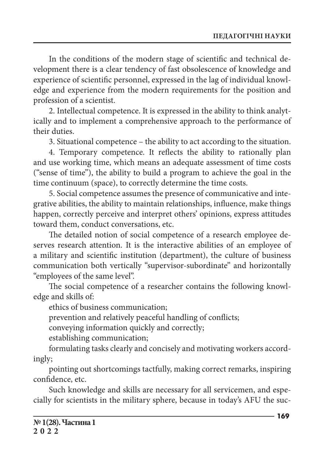In the conditions of the modern stage of scientific and technical development there is a clear tendency of fast obsolescence of knowledge and experience of scientific personnel, expressed in the lag of individual knowledge and experience from the modern requirements for the position and profession of a scientist.

2. Intellectual competence. It is expressed in the ability to think analytically and to implement a comprehensive approach to the performance of their duties.

3. Situational competence – the ability to act according to the situation.

4. Temporary competence. It reflects the ability to rationally plan and use working time, which means an adequate assessment of time costs ("sense of time"), the ability to build a program to achieve the goal in the time continuum (space), to correctly determine the time costs.

5. Social competence assumes the presence of communicative and integrative abilities, the ability to maintain relationships, influence, make things happen, correctly perceive and interpret others' opinions, express attitudes toward them, conduct conversations, etc.

The detailed notion of social competence of a research employee deserves research attention. It is the interactive abilities of an employee of a military and scientific institution (department), the culture of business communication both vertically "supervisor-subordinate" and horizontally "employees of the same level".

The social competence of a researcher contains the following knowledge and skills of:

ethics of business communication;

prevention and relatively peaceful handling of conflicts;

conveying information quickly and correctly;

establishing communication;

formulating tasks clearly and concisely and motivating workers accordingly;

pointing out shortcomings tactfully, making correct remarks, inspiring confidence, etc.

Such knowledge and skills are necessary for all servicemen, and especially for scientists in the military sphere, because in today's AFU the suc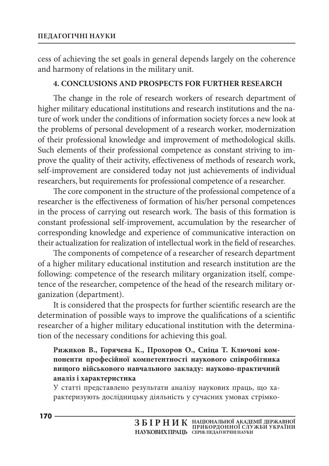cess of achieving the set goals in general depends largely on the coherence and harmony of relations in the military unit.

## **4. CONCLUSIONS AND PROSPECTS FOR FURTHER RESEARCH**

The change in the role of research workers of research department of higher military educational institutions and research institutions and the nature of work under the conditions of information society forces a new look at the problems of personal development of a research worker, modernization of their professional knowledge and improvement of methodological skills. Such elements of their professional competence as constant striving to improve the quality of their activity, effectiveness of methods of research work, self-improvement are considered today not just achievements of individual researchers, but requirements for professional competence of a researcher.

The core component in the structure of the professional competence of a researcher is the effectiveness of formation of his/her personal competences in the process of carrying out research work. The basis of this formation is constant professional self-improvement, accumulation by the researcher of corresponding knowledge and experience of communicative interaction on their actualization for realization of intellectual work in the field of researches.

The components of competence of a researcher of research department of a higher military educational institution and research institution are the following: competence of the research military organization itself, competence of the researcher, competence of the head of the research military organization (department).

It is considered that the prospects for further scientific research are the determination of possible ways to improve the qualifications of a scientific researcher of a higher military educational institution with the determination of the necessary conditions for achieving this goal.

## **Рижиков В., Горячева К., Прохоров О., Сніца Т. Ключові компоненти професійної компетентності наукового співробітника вищого військового навчального закладу: науково-практичний аналіз і характеристика**

У статті представлено результати аналізу наукових праць, що характеризують дослідницьку діяльність у сучасних умовах стрімко-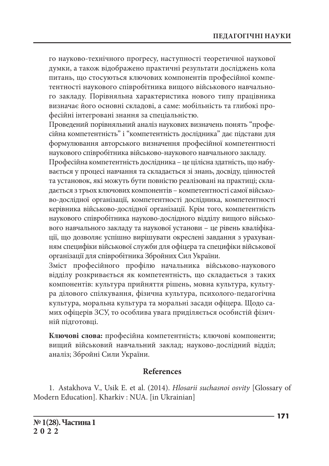го науково-технічного прогресу, наступності теоретичної наукової думки, а також відображено практичні результати досліджень кола питань, що стосуються ключових компонентів професійної компетентності наукового співробітника вищого військового навчального закладу. Порівняльна характеристика нового типу працівника визначає його основні складові, а саме: мобільність та глибокі професійні інтегровані знання за спеціальністю.

Проведений порівняльний аналіз наукових визначень понять "професійна компетентність" і "компетентність дослідника" дає підстави для формулювання авторського визначення професійної компетентності наукового співробітника військово-наукового навчального закладу.

Професійна компетентність дослідника – це цілісна здатність, що набувається у процесі навчання та складається зі знань, досвіду, цінностей та установок, які можуть бути повністю реалізовані на практиці; складається з трьох ключових компонентів – компетентності самої військово-дослідної організації, компетентності дослідника, компетентності керівника військово-дослідної організації. Крім того, компетентність наукового співробітника науково-дослідного відділу вищого військового навчального закладу та наукової установи – це рівень кваліфікації, що дозволяє успішно вирішувати окреслені завдання з урахуванням специфіки військової служби для офіцера та специфіки військової організації для співробітника Збройних Сил України.

Зміст професійного профілю начальника військово-наукового відділу розкривається як компетентність, що складається з таких компонентів: культура прийняття рішень, мовна культура, культура ділового спілкування, фізична культура, психолого-педагогічна культура, моральна культура та моральні засади офіцера. Щодо самих офіцерів ЗСУ, то особлива увага приділяється особистій фізичній підготовці.

**Ключові слова:** професійна компетентність; ключові компоненти; вищий військовий навчальний заклад; науково-дослідний відділ; аналіз; Збройні Сили України.

## **References**

1. Astakhova V., Usik E. et al. (2014). *Hlosarii suchasnoi osvity* [Glossary of Modern Education]. Kharkiv : NUA. [in Ukrainian]